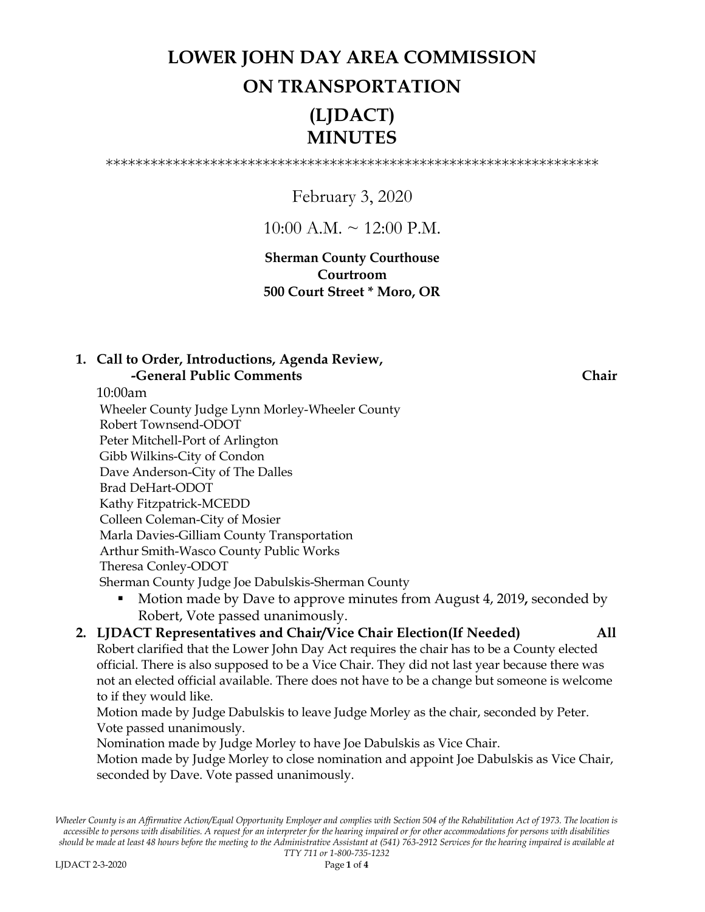## **LOWER JOHN DAY AREA COMMISSION ON TRANSPORTATION (LJDACT) MINUTES**

\*\*\*\*\*\*\*\*\*\*\*\*\*\*\*\*\*\*\*\*\*\*\*\*\*\*\*\*\*\*\*\*\*\*\*\*\*\*\*\*\*\*\*\*\*\*\*\*\*\*\*\*\*\*\*\*\*\*\*\*\*\*\*\*\*\*

February 3, 2020

 $10:00$  A.M.  $\sim$  12:00 P.M.

**Sherman County Courthouse Courtroom 500 Court Street \* Moro, OR**

### **1. Call to Order, Introductions, Agenda Review, -General Public Comments** Chair

10:00am

 Wheeler County Judge Lynn Morley-Wheeler County Robert Townsend-ODOT Peter Mitchell-Port of Arlington Gibb Wilkins-City of Condon Dave Anderson-City of The Dalles Brad DeHart-ODOT Kathy Fitzpatrick-MCEDD Colleen Coleman-City of Mosier Marla Davies-Gilliam County Transportation Arthur Smith-Wasco County Public Works Theresa Conley-ODOT Sherman County Judge Joe Dabulskis-Sherman County

 Motion made by Dave to approve minutes from August 4, 2019**,** seconded by Robert, Vote passed unanimously.

### **2. LJDACT Representatives and Chair/Vice Chair Election(If Needed) All** Robert clarified that the Lower John Day Act requires the chair has to be a County elected official. There is also supposed to be a Vice Chair. They did not last year because there was not an elected official available. There does not have to be a change but someone is welcome to if they would like.

Motion made by Judge Dabulskis to leave Judge Morley as the chair, seconded by Peter. Vote passed unanimously.

Nomination made by Judge Morley to have Joe Dabulskis as Vice Chair.

Motion made by Judge Morley to close nomination and appoint Joe Dabulskis as Vice Chair, seconded by Dave. Vote passed unanimously.

*Wheeler County is an Affirmative Action/Equal Opportunity Employer and complies with Section 504 of the Rehabilitation Act of 1973. The location is accessible to persons with disabilities. A request for an interpreter for the hearing impaired or for other accommodations for persons with disabilities should be made at least 48 hours before the meeting to the Administrative Assistant at (541) 763-2912 Services for the hearing impaired is available at*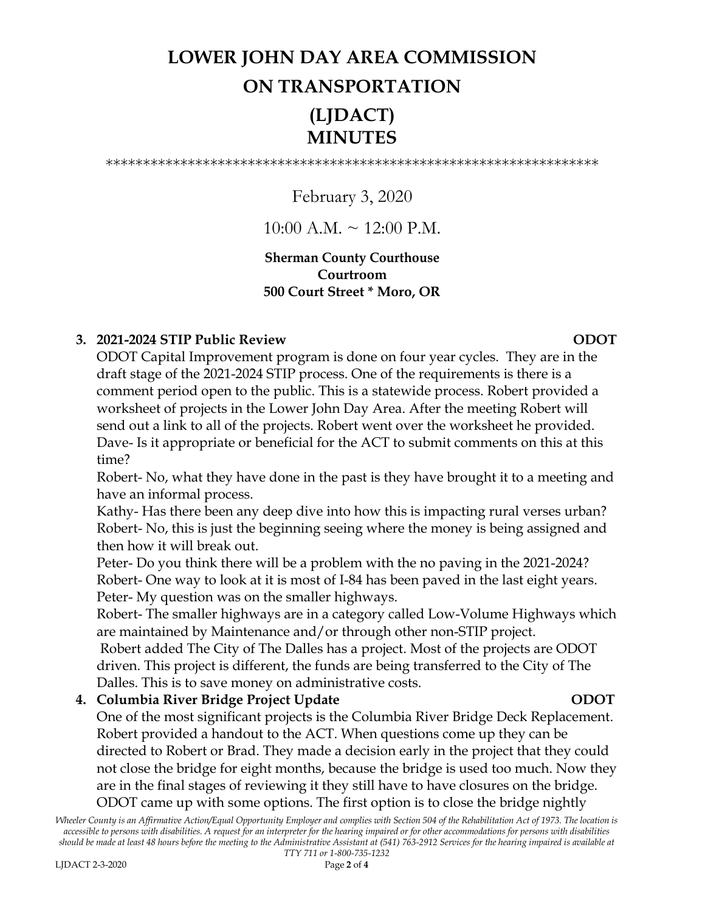# **LOWER JOHN DAY AREA COMMISSION ON TRANSPORTATION (LJDACT)**

\*\*\*\*\*\*\*\*\*\*\*\*\*\*\*\*\*\*\*\*\*\*\*\*\*\*\*\*\*\*\*\*\*\*\*\*\*\*\*\*\*\*\*\*\*\*\*\*\*\*\*\*\*\*\*\*\*\*\*\*\*\*\*\*\*\*

**MINUTES**

## February 3, 2020

### $10:00$  A.M.  $\sim$  12:00 P.M.

### **Sherman County Courthouse Courtroom 500 Court Street \* Moro, OR**

### **3. 2021-2024 STIP Public Review ODOT**

ODOT Capital Improvement program is done on four year cycles. They are in the draft stage of the 2021-2024 STIP process. One of the requirements is there is a comment period open to the public. This is a statewide process. Robert provided a worksheet of projects in the Lower John Day Area. After the meeting Robert will send out a link to all of the projects. Robert went over the worksheet he provided. Dave- Is it appropriate or beneficial for the ACT to submit comments on this at this time?

Robert- No, what they have done in the past is they have brought it to a meeting and have an informal process.

Kathy- Has there been any deep dive into how this is impacting rural verses urban? Robert- No, this is just the beginning seeing where the money is being assigned and then how it will break out.

Peter- Do you think there will be a problem with the no paving in the 2021-2024? Robert- One way to look at it is most of I-84 has been paved in the last eight years. Peter- My question was on the smaller highways.

Robert- The smaller highways are in a category called Low-Volume Highways which are maintained by Maintenance and/or through other non-STIP project.

Robert added The City of The Dalles has a project. Most of the projects are ODOT driven. This project is different, the funds are being transferred to the City of The Dalles. This is to save money on administrative costs.

### **4. Columbia River Bridge Project Update ODOT**

One of the most significant projects is the Columbia River Bridge Deck Replacement. Robert provided a handout to the ACT. When questions come up they can be directed to Robert or Brad. They made a decision early in the project that they could not close the bridge for eight months, because the bridge is used too much. Now they are in the final stages of reviewing it they still have to have closures on the bridge. ODOT came up with some options. The first option is to close the bridge nightly

*Wheeler County is an Affirmative Action/Equal Opportunity Employer and complies with Section 504 of the Rehabilitation Act of 1973. The location is accessible to persons with disabilities. A request for an interpreter for the hearing impaired or for other accommodations for persons with disabilities should be made at least 48 hours before the meeting to the Administrative Assistant at (541) 763-2912 Services for the hearing impaired is available at TTY 711 or 1-800-735-1232*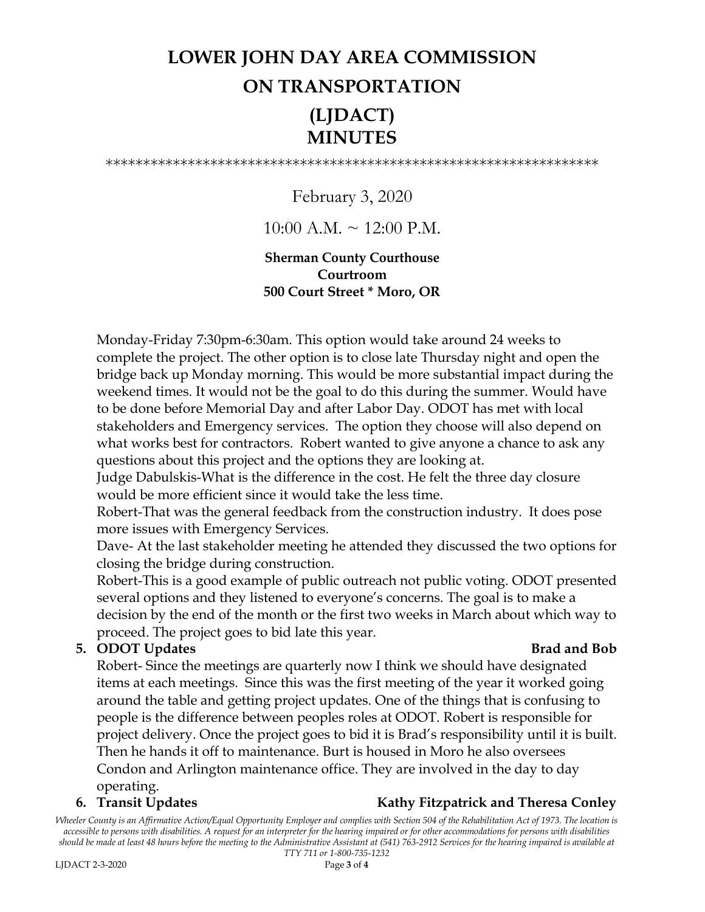## **LOWER JOHN DAY AREA COMMISSION ON TRANSPORTATION (LJDACT) MINUTES**

\*\*\*\*\*\*\*\*\*\*\*\*\*\*\*\*\*\*\*\*\*\*\*\*\*\*\*\*\*\*\*\*\*\*\*\*\*\*\*\*\*\*\*\*\*\*\*\*\*\*\*\*\*\*\*\*\*\*\*\*\*\*\*\*\*\*

February 3, 2020

 $10:00$  A.M.  $\sim$  12:00 P.M.

### **Sherman County Courthouse Courtroom 500 Court Street \* Moro, OR**

Monday-Friday 7:30pm-6:30am. This option would take around 24 weeks to complete the project. The other option is to close late Thursday night and open the bridge back up Monday morning. This would be more substantial impact during the weekend times. It would not be the goal to do this during the summer. Would have to be done before Memorial Day and after Labor Day. ODOT has met with local stakeholders and Emergency services. The option they choose will also depend on what works best for contractors. Robert wanted to give anyone a chance to ask any questions about this project and the options they are looking at.

Judge Dabulskis-What is the difference in the cost. He felt the three day closure would be more efficient since it would take the less time.

Robert-That was the general feedback from the construction industry. It does pose more issues with Emergency Services.

Dave- At the last stakeholder meeting he attended they discussed the two options for closing the bridge during construction.

Robert-This is a good example of public outreach not public voting. ODOT presented several options and they listened to everyone's concerns. The goal is to make a decision by the end of the month or the first two weeks in March about which way to proceed. The project goes to bid late this year.

### **5. ODOT Updates Brad and Bob Brad and Bob**

Robert- Since the meetings are quarterly now I think we should have designated items at each meetings. Since this was the first meeting of the year it worked going around the table and getting project updates. One of the things that is confusing to people is the difference between peoples roles at ODOT. Robert is responsible for project delivery. Once the project goes to bid it is Brad's responsibility until it is built. Then he hands it off to maintenance. Burt is housed in Moro he also oversees Condon and Arlington maintenance office. They are involved in the day to day operating.

### **6.** Transit Updates **Kathy Fitzpatrick and Theresa Conley**

*Wheeler County is an Affirmative Action/Equal Opportunity Employer and complies with Section 504 of the Rehabilitation Act of 1973. The location is accessible to persons with disabilities. A request for an interpreter for the hearing impaired or for other accommodations for persons with disabilities should be made at least 48 hours before the meeting to the Administrative Assistant at (541) 763-2912 Services for the hearing impaired is available at*